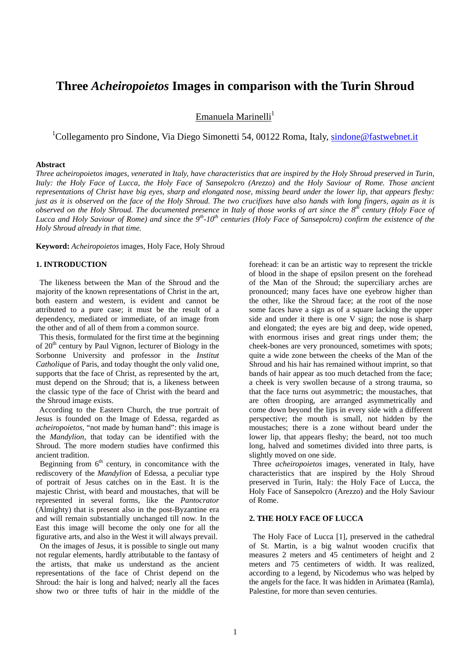# **Three** *Acheiropoietos* **Images in comparison with the Turin Shroud**

Emanuela Marinelli $^1$ 

<sup>1</sup>Collegamento pro Sindone, Via Diego Simonetti 54, 00122 Roma, Italy, sindone@fastwebnet.it

## **Abstract**

*Three acheiropoietos images, venerated in Italy, have characteristics that are inspired by the Holy Shroud preserved in Turin, Italy: the Holy Face of Lucca, the Holy Face of Sansepolcro (Arezzo) and the Holy Saviour of Rome. Those ancient representations of Christ have big eyes, sharp and elongated nose, missing beard under the lower lip, that appears fleshy: just as it is observed on the face of the Holy Shroud. The two crucifixes have also hands with long fingers, again as it is observed on the Holy Shroud. The documented presence in Italy of those works of art since the 8th century (Holy Face of Lucca and Holy Saviour of Rome) and since the 9th-10th centuries (Holy Face of Sansepolcro) confirm the existence of the Holy Shroud already in that time.* 

**Keyword:** *Acheiropoietos* images, Holy Face, Holy Shroud

### **1. INTRODUCTION**

 The likeness between the Man of the Shroud and the majority of the known representations of Christ in the art, both eastern and western, is evident and cannot be attributed to a pure case; it must be the result of a dependency, mediated or immediate, of an image from the other and of all of them from a common source.

 This thesis, formulated for the first time at the beginning of 20<sup>th</sup> century by Paul Vignon, lecturer of Biology in the Sorbonne University and professor in the *Institut Catholique* of Paris, and today thought the only valid one, supports that the face of Christ, as represented by the art, must depend on the Shroud; that is, a likeness between the classic type of the face of Christ with the beard and the Shroud image exists.

 According to the Eastern Church, the true portrait of Jesus is founded on the Image of Edessa, regarded as *acheiropoietos*, "not made by human hand": this image is the *Mandylion*, that today can be identified with the Shroud. The more modern studies have confirmed this ancient tradition.

Beginning from  $6<sup>th</sup>$  century, in concomitance with the rediscovery of the *Mandylion* of Edessa, a peculiar type of portrait of Jesus catches on in the East. It is the majestic Christ, with beard and moustaches, that will be represented in several forms, like the *Pantocrator* (Almighty) that is present also in the post-Byzantine era and will remain substantially unchanged till now. In the East this image will become the only one for all the figurative arts, and also in the West it will always prevail.

 On the images of Jesus, it is possible to single out many not regular elements, hardly attributable to the fantasy of the artists, that make us understand as the ancient representations of the face of Christ depend on the Shroud: the hair is long and halved; nearly all the faces show two or three tufts of hair in the middle of the

forehead: it can be an artistic way to represent the trickle of blood in the shape of epsilon present on the forehead of the Man of the Shroud; the superciliary arches are pronounced; many faces have one eyebrow higher than the other, like the Shroud face; at the root of the nose some faces have a sign as of a square lacking the upper side and under it there is one V sign; the nose is sharp and elongated; the eyes are big and deep, wide opened, with enormous irises and great rings under them; the cheek-bones are very pronounced, sometimes with spots; quite a wide zone between the cheeks of the Man of the Shroud and his hair has remained without imprint, so that bands of hair appear as too much detached from the face; a cheek is very swollen because of a strong trauma, so that the face turns out asymmetric; the moustaches, that are often drooping, are arranged asymmetrically and come down beyond the lips in every side with a different perspective; the mouth is small, not hidden by the moustaches; there is a zone without beard under the lower lip, that appears fleshy; the beard, not too much long, halved and sometimes divided into three parts, is slightly moved on one side.

 Three *acheiropoietos* images, venerated in Italy, have characteristics that are inspired by the Holy Shroud preserved in Turin, Italy: the Holy Face of Lucca, the Holy Face of Sansepolcro (Arezzo) and the Holy Saviour of Rome.

## **2. THE HOLY FACE OF LUCCA**

 The Holy Face of Lucca [1], preserved in the cathedral of St. Martin, is a big walnut wooden crucifix that measures 2 meters and 45 centimeters of height and 2 meters and 75 centimeters of width. It was realized, according to a legend, by Nicodemus who was helped by the angels for the face. It was hidden in Arimatea (Ramla), Palestine, for more than seven centuries.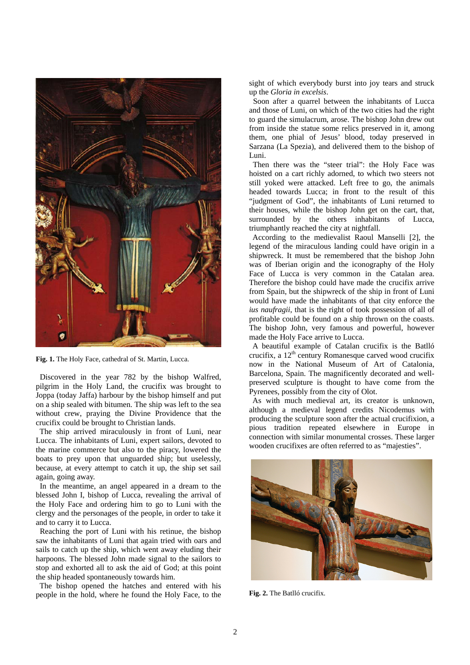

**Fig. 1.** The Holy Face, cathedral of St. Martin, Lucca.

 Discovered in the year 782 by the bishop Walfred, pilgrim in the Holy Land, the crucifix was brought to Joppa (today Jaffa) harbour by the bishop himself and put on a ship sealed with bitumen. The ship was left to the sea without crew, praying the Divine Providence that the crucifix could be brought to Christian lands.

 The ship arrived miraculously in front of Luni, near Lucca. The inhabitants of Luni, expert sailors, devoted to the marine commerce but also to the piracy, lowered the boats to prey upon that unguarded ship; but uselessly, because, at every attempt to catch it up, the ship set sail again, going away.

 In the meantime, an angel appeared in a dream to the blessed John I, bishop of Lucca, revealing the arrival of the Holy Face and ordering him to go to Luni with the clergy and the personages of the people, in order to take it and to carry it to Lucca.

 Reaching the port of Luni with his retinue, the bishop saw the inhabitants of Luni that again tried with oars and sails to catch up the ship, which went away eluding their harpoons. The blessed John made signal to the sailors to stop and exhorted all to ask the aid of God; at this point the ship headed spontaneously towards him.

 The bishop opened the hatches and entered with his people in the hold, where he found the Holy Face, to the sight of which everybody burst into joy tears and struck up the *Gloria in excelsis*.

 Soon after a quarrel between the inhabitants of Lucca and those of Luni, on which of the two cities had the right to guard the simulacrum, arose. The bishop John drew out from inside the statue some relics preserved in it, among them, one phial of Jesus' blood, today preserved in Sarzana (La Spezia), and delivered them to the bishop of Luni.

 Then there was the "steer trial": the Holy Face was hoisted on a cart richly adorned, to which two steers not still yoked were attacked. Left free to go, the animals headed towards Lucca; in front to the result of this "judgment of God", the inhabitants of Luni returned to their houses, while the bishop John get on the cart, that, surrounded by the others inhabitants of Lucca, triumphantly reached the city at nightfall.

 According to the medievalist Raoul Manselli [2], the legend of the miraculous landing could have origin in a shipwreck. It must be remembered that the bishop John was of Iberian origin and the iconography of the Holy Face of Lucca is very common in the Catalan area. Therefore the bishop could have made the crucifix arrive from Spain, but the shipwreck of the ship in front of Luni would have made the inhabitants of that city enforce the *ius naufragii*, that is the right of took possession of all of profitable could be found on a ship thrown on the coasts. The bishop John, very famous and powerful, however made the Holy Face arrive to Lucca.

 A beautiful example of Catalan crucifix is the Batlló crucifix, a  $12<sup>th</sup>$  century Romanesque carved wood crucifix now in the National Museum of Art of Catalonia, Barcelona, Spain. The magnificently decorated and wellpreserved sculpture is thought to have come from the Pyrenees, possibly from the city of Olot.

 As with much medieval art, its creator is unknown, although a medieval legend credits Nicodemus with producing the sculpture soon after the actual crucifixion, a pious tradition repeated elsewhere in Europe in connection with similar monumental crosses. These larger wooden crucifixes are often referred to as "majesties".



**Fig. 2.** The Batlló crucifix.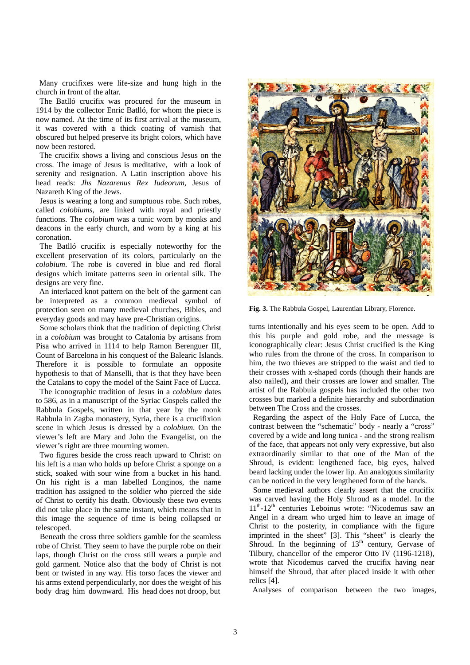Many crucifixes were life-size and hung high in the church in front of the altar.

 The Batlló crucifix was procured for the museum in 1914 by the collector Enric Batlló, for whom the piece is now named. At the time of its first arrival at the museum, it was covered with a thick coating of varnish that obscured but helped preserve its bright colors, which have now been restored.

 The crucifix shows a living and conscious Jesus on the cross. The image of Jesus is meditative, with a look of serenity and resignation. A Latin inscription above his head reads: *Jhs Nazarenus Rex Iudeorum*, Jesus of Nazareth King of the Jews.

 Jesus is wearing a long and sumptuous robe. Such robes, called *colobiums*, are linked with royal and priestly functions. The *colobium* was a tunic worn by monks and deacons in the early church, and worn by a king at his coronation.

 The Batlló crucifix is especially noteworthy for the excellent preservation of its colors, particularly on the *colobium*. The robe is covered in blue and red floral designs which imitate patterns seen in oriental silk. The designs are very fine.

 An interlaced knot pattern on the belt of the garment can be interpreted as a common medieval symbol of protection seen on many medieval churches, Bibles, and everyday goods and may have pre-Christian origins.

 Some scholars think that the tradition of depicting Christ in a *colobium* was brought to Catalonia by artisans from Pisa who arrived in 1114 to help Ramon Berenguer III, Count of Barcelona in his conquest of the Balearic Islands. Therefore it is possible to formulate an opposite hypothesis to that of Manselli, that is that they have been the Catalans to copy the model of the Saint Face of Lucca.

 The iconographic tradition of Jesus in a *colobium* dates to 586, as in a manuscript of the Syriac Gospels called the Rabbula Gospels, written in that year by the monk Rabbula in Zagba monastery, Syria, there is a crucifixion scene in which Jesus is dressed by a *colobium*. On the viewer's left are Mary and John the Evangelist, on the viewer's right are three mourning women.

 Two figures beside the cross reach upward to Christ: on his left is a man who holds up before Christ a sponge on a stick, soaked with sour wine from a bucket in his hand. On his right is a man labelled Longinos, the name tradition has assigned to the soldier who pierced the side of Christ to certify his death. Obviously these two events did not take place in the same instant, which means that in this image the sequence of time is being collapsed or telescoped.

 Beneath the cross three soldiers gamble for the seamless robe of Christ. They seem to have the purple robe on their laps, though Christ on the cross still wears a purple and gold garment. Notice also that the body of Christ is not bent or twisted in any way. His torso faces the viewer and his arms extend perpendicularly, nor does the weight of his bodydraghimdownward. Hishead does not droop, but



**Fig. 3.** The Rabbula Gospel, Laurentian Library, Florence.

turns intentionally and his eyes seem to be open. Add to this his purple and gold robe, and the message is iconographically clear: Jesus Christ crucified is the King who rules from the throne of the cross. In comparison to him, the two thieves are stripped to the waist and tied to their crosses with x-shaped cords (though their hands are also nailed), and their crosses are lower and smaller. The artist of the Rabbula gospels has included the other two crosses but marked a definite hierarchy and subordination between The Cross and the crosses.

 Regarding the aspect of the Holy Face of Lucca, the contrast between the "schematic" body - nearly a "cross" covered by a wide and long tunica - and the strong realism of the face, that appears not only very expressive, but also extraordinarily similar to that one of the Man of the Shroud, is evident: lengthened face, big eyes, halved beard lacking under the lower lip. An analogous similarity can be noticed in the very lengthened form of the hands.

 Some medieval authors clearly assert that the crucifix was carved having the Holy Shroud as a model. In the  $11<sup>th</sup>$ -12<sup>th</sup> centuries Leboinus wrote: "Nicodemus saw an Angel in a dream who urged him to leave an image of Christ to the posterity, in compliance with the figure imprinted in the sheet" [3]. This "sheet" is clearly the Shroud. In the beginning of  $13<sup>th</sup>$  century, Gervase of Tilbury, chancellor of the emperor Otto IV (1196-1218), wrote that Nicodemus carved the crucifix having near himself the Shroud, that after placed inside it with other relics [4].

Analyses of comparison between the two images,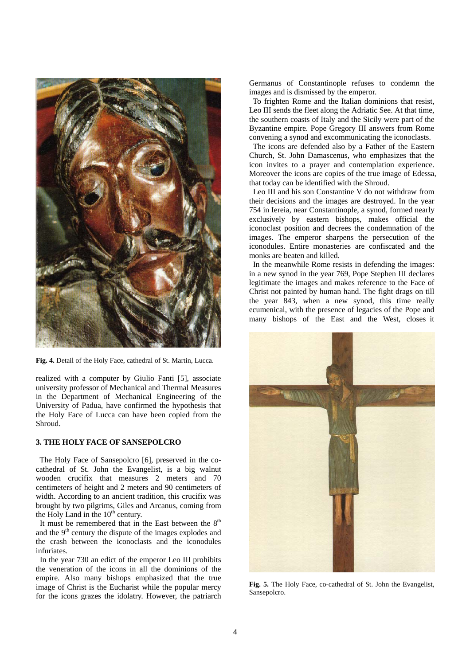

**Fig. 4.** Detail of the Holy Face, cathedral of St. Martin, Lucca.

realized with a computer by Giulio Fanti [5], associate university professor of Mechanical and Thermal Measures in the Department of Mechanical Engineering of the University of Padua, have confirmed the hypothesis that the Holy Face of Lucca can have been copied from the Shroud.

## **3. THE HOLY FACE OF SANSEPOLCRO**

 The Holy Face of Sansepolcro [6], preserved in the cocathedral of St. John the Evangelist, is a big walnut wooden crucifix that measures 2 meters and 70 centimeters of height and 2 meters and 90 centimeters of width. According to an ancient tradition, this crucifix was brought by two pilgrims, Giles and Arcanus, coming from the Holy Land in the  $10<sup>th</sup>$  century.

It must be remembered that in the East between the  $8<sup>th</sup>$ and the  $9<sup>th</sup>$  century the dispute of the images explodes and the crash between the iconoclasts and the iconodules infuriates.

 In the year 730 an edict of the emperor Leo III prohibits the veneration of the icons in all the dominions of the empire. Also many bishops emphasized that the true image of Christ is the Eucharist while the popular mercy for the icons grazes the idolatry. However, the patriarch

Germanus of Constantinople refuses to condemn the images and is dismissed by the emperor.

 To frighten Rome and the Italian dominions that resist, Leo III sends the fleet along the Adriatic See. At that time, the southern coasts of Italy and the Sicily were part of the Byzantine empire. Pope Gregory III answers from Rome convening a synod and excommunicating the iconoclasts.

 The icons are defended also by a Father of the Eastern Church, St. John Damascenus, who emphasizes that the icon invites to a prayer and contemplation experience. Moreover the icons are copies of the true image of Edessa, that today can be identified with the Shroud.

 Leo III and his son Constantine V do not withdraw from their decisions and the images are destroyed. In the year 754 in Iereia, near Constantinople, a synod, formed nearly exclusively by eastern bishops, makes official the iconoclast position and decrees the condemnation of the images. The emperor sharpens the persecution of the iconodules. Entire monasteries are confiscated and the monks are beaten and killed.

 In the meanwhile Rome resists in defending the images: in a new synod in the year 769, Pope Stephen III declares legitimate the images and makes reference to the Face of Christ not painted by human hand. The fight drags on till the year 843, when a new synod, this time really ecumenical, with the presence of legacies of the Pope and many bishops of the East and the West, closes it



**Fig. 5.** The Holy Face, co-cathedral of St. John the Evangelist, Sansepolcro.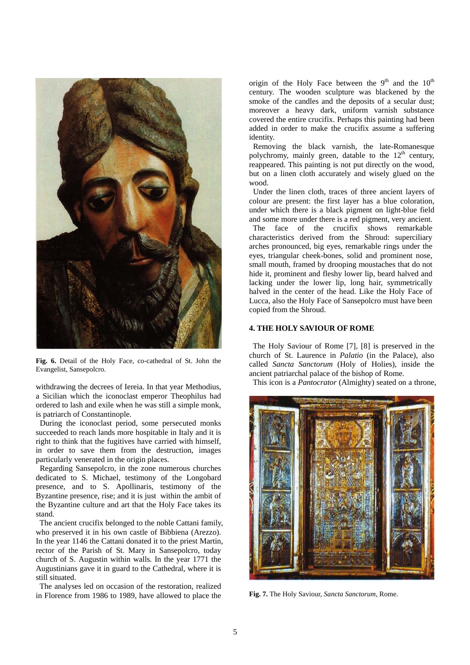

**Fig. 6.** Detail of the Holy Face, co-cathedral of St. John the Evangelist, Sansepolcro.

withdrawing the decrees of Iereia. In that year Methodius, a Sicilian which the iconoclast emperor Theophilus had ordered to lash and exile when he was still a simple monk, is patriarch of Constantinople.

 During the iconoclast period, some persecuted monks succeeded to reach lands more hospitable in Italy and it is right to think that the fugitives have carried with himself, in order to save them from the destruction, images particularly venerated in the origin places.

 Regarding Sansepolcro, in the zone numerous churches dedicated to S. Michael, testimony of the Longobard presence, and to S. Apollinaris, testimony of the Byzantine presence, rise; and it is just within the ambit of the Byzantine culture and art that the Holy Face takes its stand.

 The ancient crucifix belonged to the noble Cattani family, who preserved it in his own castle of Bibbiena (Arezzo). In the year 1146 the Cattani donated it to the priest Martin, rector of the Parish of St. Mary in Sansepolcro, today church of S. Augustin within walls. In the year 1771 the Augustinians gave it in guard to the Cathedral, where it is still situated.

 The analyses led on occasion of the restoration, realized in Florence from 1986 to 1989, have allowed to place the origin of the Holy Face between the  $9<sup>th</sup>$  and the  $10<sup>th</sup>$ century. The wooden sculpture was blackened by the smoke of the candles and the deposits of a secular dust; moreover a heavy dark, uniform varnish substance covered the entire crucifix. Perhaps this painting had been added in order to make the crucifix assume a suffering identity.

 Removing the black varnish, the late-Romanesque polychromy, mainly green, datable to the  $12<sup>th</sup>$  century, reappeared. This painting is not put directly on the wood, but on a linen cloth accurately and wisely glued on the wood.

 Under the linen cloth, traces of three ancient layers of colour are present: the first layer has a blue coloration, under which there is a black pigment on light-blue field and some more under there is a red pigment, very ancient.

 The face of the crucifix shows remarkable characteristics derived from the Shroud: superciliary arches pronounced, big eyes, remarkable rings under the eyes, triangular cheek-bones, solid and prominent nose, small mouth, framed by drooping moustaches that do not hide it, prominent and fleshy lower lip, beard halved and lacking under the lower lip, long hair, symmetrically halved in the center of the head. Like the Holy Face of Lucca, also the Holy Face of Sansepolcro must have been copied from the Shroud.

## **4. THE HOLY SAVIOUR OF ROME**

 The Holy Saviour of Rome [7], [8] is preserved in the church of St. Laurence in *Palatio* (in the Palace), also called *Sancta Sanctorum* (Holy of Holies), inside the ancient patriarchal palace of the bishop of Rome.

This icon is a *Pantocrator* (Almighty) seated on a throne,



**Fig. 7.** The Holy Saviour, *Sancta Sanctorum*, Rome.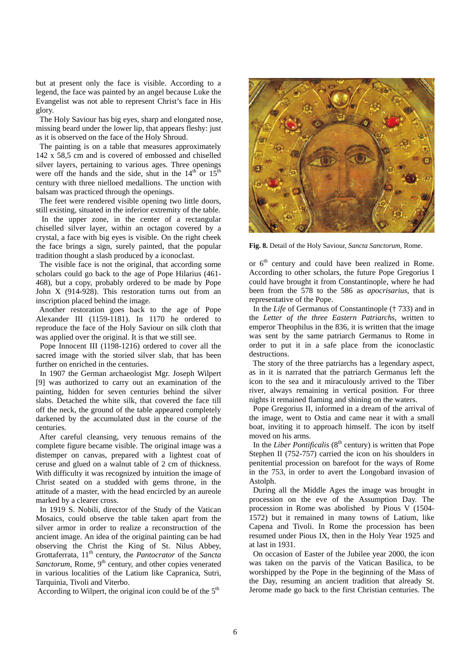but at present only the face is visible. According to a legend, the face was painted by an angel because Luke the Evangelist was not able to represent Christ's face in His glory.

 The Holy Saviour has big eyes, sharp and elongated nose, missing beard under the lower lip, that appears fleshy: just as it is observed on the face of the Holy Shroud.

 The painting is on a table that measures approximately 142 x 58,5 cm and is covered of embossed and chiselled silver layers, pertaining to various ages. Three openings were off the hands and the side, shut in the  $14<sup>th</sup>$  or  $15<sup>th</sup>$ century with three nielloed medallions. The unction with balsam was practiced through the openings.

 The feet were rendered visible opening two little doors, still existing, situated in the inferior extremity of the table.

 In the upper zone, in the center of a rectangular chiselled silver layer, within an octagon covered by a crystal, a face with big eyes is visible. On the right cheek the face brings a sign, surely painted, that the popular tradition thought a slash produced by a iconoclast.

 The visible face is not the original, that according some scholars could go back to the age of Pope Hilarius (461- 468), but a copy, probably ordered to be made by Pope John X (914-928). This restoration turns out from an inscription placed behind the image.

 Another restoration goes back to the age of Pope Alexander III (1159-1181). In 1170 he ordered to reproduce the face of the Holy Saviour on silk cloth that was applied over the original. It is that we still see.

 Pope Innocent III (1198-1216) ordered to cover all the sacred image with the storied silver slab, that has been further on enriched in the centuries.

 In 1907 the German archaeologist Mgr. Joseph Wilpert [9] was authorized to carry out an examination of the painting, hidden for seven centuries behind the silver slabs. Detached the white silk, that covered the face till off the neck, the ground of the table appeared completely darkened by the accumulated dust in the course of the centuries.

 After careful cleansing, very tenuous remains of the complete figure became visible. The original image was a distemper on canvas, prepared with a lightest coat of ceruse and glued on a walnut table of 2 cm of thickness. With difficulty it was recognized by intuition the image of Christ seated on a studded with gems throne, in the attitude of a master, with the head encircled by an aureole marked by a clearer cross.

 In 1919 S. Nobili, director of the Study of the Vatican Mosaics, could observe the table taken apart from the silver armor in order to realize a reconstruction of the ancient image. An idea of the original painting can be had observing the Christ the King of St. Nilus Abbey, Grottaferrata, 11th century, the *Pantocrator* of the *Sancta*  Sanctorum, Rome, 9<sup>th</sup> century, and other copies venerated in various localities of the Latium like Capranica, Sutri, Tarquinia, Tivoli and Viterbo.

According to Wilpert, the original icon could be of the  $5<sup>th</sup>$ 



**Fig. 8.** Detail of the Holy Saviour, *Sancta Sanctorum*, Rome.

or  $6<sup>th</sup>$  century and could have been realized in Rome. According to other scholars, the future Pope Gregorius I could have brought it from Constantinople, where he had been from the 578 to the 586 as *apocrisarius*, that is representative of the Pope.

 In the *Life* of Germanus of Constantinople († 733) and in the *Letter of the three Eastern Patriarchs*, written to emperor Theophilus in the 836, it is written that the image was sent by the same patriarch Germanus to Rome in order to put it in a safe place from the iconoclastic destructions.

 The story of the three patriarchs has a legendary aspect, as in it is narrated that the patriarch Germanus left the icon to the sea and it miraculously arrived to the Tiber river, always remaining in vertical position. For three nights it remained flaming and shining on the waters.

 Pope Gregorius II, informed in a dream of the arrival of the image, went to Ostia and came near it with a small boat, inviting it to approach himself. The icon by itself moved on his arms.

In the *Liber Pontificalis* ( $8<sup>th</sup>$  century) is written that Pope Stephen II (752-757) carried the icon on his shoulders in penitential procession on barefoot for the ways of Rome in the 753, in order to avert the Longobard invasion of Astolph.

 During all the Middle Ages the image was brought in procession on the eve of the Assumption Day. The procession in Rome was abolished by Pious V (1504- 1572) but it remained in many towns of Latium, like Capena and Tivoli. In Rome the procession has been resumed under Pious IX, then in the Holy Year 1925 and at last in 1931.

 On occasion of Easter of the Jubilee year 2000, the icon was taken on the parvis of the Vatican Basilica, to be worshipped by the Pope in the beginning of the Mass of the Day, resuming an ancient tradition that already St. Jerome made go back to the first Christian centuries. The